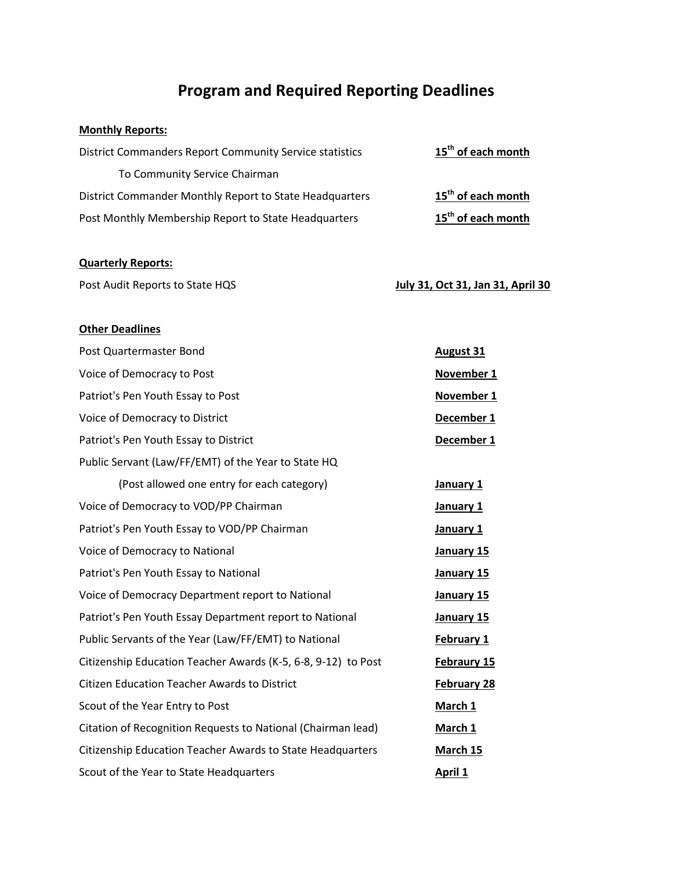## **Program and Required Reporting Deadlines**

## **Monthly Reports:**

| <b>District Commanders Report Community Service statistics</b> | 15 <sup>th</sup> of each month |
|----------------------------------------------------------------|--------------------------------|
| To Community Service Chairman                                  |                                |
| District Commander Monthly Report to State Headquarters        | 15 <sup>th</sup> of each month |
| Post Monthly Membership Report to State Headquarters           | 15 <sup>th</sup> of each month |

## **Quarterly Reports:**

| Post Audit Reports to State HQS | July 31, Oct 31, Jan 31, April 30 |
|---------------------------------|-----------------------------------|
|                                 |                                   |

## **Other Deadlines**

| Post Quartermaster Bond                                       | <b>August 31</b>   |
|---------------------------------------------------------------|--------------------|
| Voice of Democracy to Post                                    | November 1         |
| Patriot's Pen Youth Essay to Post                             | November 1         |
| Voice of Democracy to District                                | December 1         |
| Patriot's Pen Youth Essay to District                         | December 1         |
| Public Servant (Law/FF/EMT) of the Year to State HQ           |                    |
| (Post allowed one entry for each category)                    | January 1          |
| Voice of Democracy to VOD/PP Chairman                         | January 1          |
| Patriot's Pen Youth Essay to VOD/PP Chairman                  | January 1          |
| Voice of Democracy to National                                | January 15         |
| Patriot's Pen Youth Essay to National                         | January 15         |
| Voice of Democracy Department report to National              | January 15         |
| Patriot's Pen Youth Essay Department report to National       | January 15         |
| Public Servants of the Year (Law/FF/EMT) to National          | February 1         |
| Citizenship Education Teacher Awards (K-5, 6-8, 9-12) to Post | Febraury 15        |
| <b>Citizen Education Teacher Awards to District</b>           | <b>February 28</b> |
| Scout of the Year Entry to Post                               | March 1            |
| Citation of Recognition Requests to National (Chairman lead)  | March 1            |
| Citizenship Education Teacher Awards to State Headquarters    | March 15           |
| Scout of the Year to State Headquarters                       | April 1            |